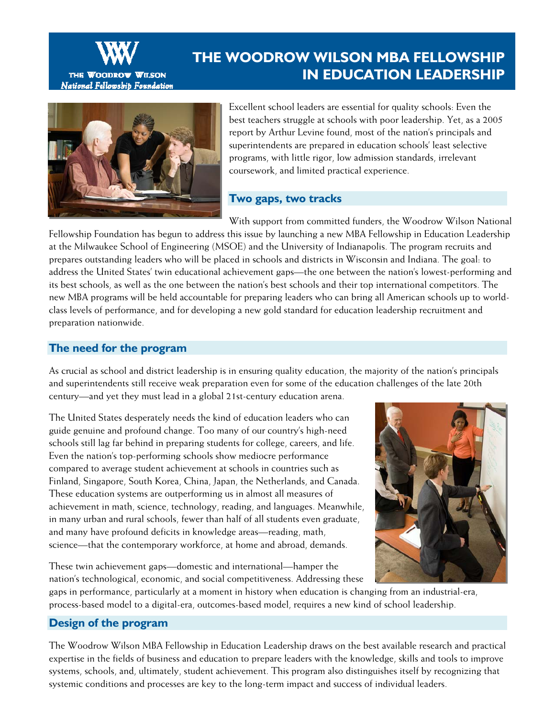

# **THE WOODROW WILSON MBA FELLOWSHIP IN EDUCATION LEADERSHIP**



Excellent school leaders are essential for quality schools: Even the best teachers struggle at schools with poor leadership. Yet, as a 2005 report by Arthur Levine found, most of the nation's principals and superintendents are prepared in education schools' least selective programs, with little rigor, low admission standards, irrelevant coursework, and limited practical experience.

#### **Two gaps, two tracks**

With support from committed funders, the Woodrow Wilson National Fellowship Foundation has begun to address this issue by launching a new MBA Fellowship in Education Leadership at the Milwaukee School of Engineering (MSOE) and the University of Indianapolis. The program recruits and prepares outstanding leaders who will be placed in schools and districts in Wisconsin and Indiana. The goal: to address the United States' twin educational achievement gaps—the one between the nation's lowest-performing and its best schools, as well as the one between the nation's best schools and their top international competitors. The new MBA programs will be held accountable for preparing leaders who can bring all American schools up to worldclass levels of performance, and for developing a new gold standard for education leadership recruitment and preparation nationwide.

### **The need for the program**

As crucial as school and district leadership is in ensuring quality education, the majority of the nation's principals and superintendents still receive weak preparation even for some of the education challenges of the late 20th century—and yet they must lead in a global 21st-century education arena.

The United States desperately needs the kind of education leaders who can guide genuine and profound change. Too many of our country's high-need schools still lag far behind in preparing students for college, careers, and life. Even the nation's top-performing schools show mediocre performance compared to average student achievement at schools in countries such as Finland, Singapore, South Korea, China, Japan, the Netherlands, and Canada. These education systems are outperforming us in almost all measures of achievement in math, science, technology, reading, and languages. Meanwhile, in many urban and rural schools, fewer than half of all students even graduate, and many have profound deficits in knowledge areas—reading, math, science—that the contemporary workforce, at home and abroad, demands.



These twin achievement gaps—domestic and international—hamper the nation's technological, economic, and social competitiveness. Addressing these

gaps in performance, particularly at a moment in history when education is changing from an industrial-era, process-based model to a digital-era, outcomes-based model, requires a new kind of school leadership.

# **Design of the program**

The Woodrow Wilson MBA Fellowship in Education Leadership draws on the best available research and practical expertise in the fields of business and education to prepare leaders with the knowledge, skills and tools to improve systems, schools, and, ultimately, student achievement. This program also distinguishes itself by recognizing that systemic conditions and processes are key to the long-term impact and success of individual leaders.